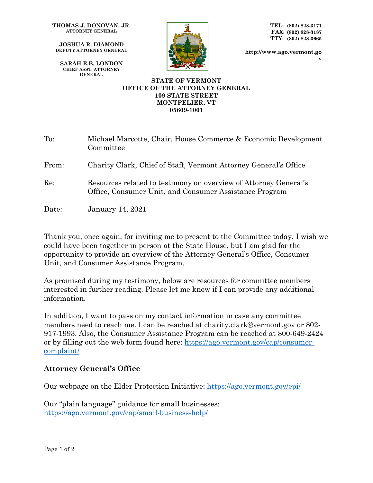**THOMAS J. DONOVAN, JR. ATTORNEY GENERAL**

**JOSHUA R. DIAMOND DEPUTY ATTORNEY GENERAL**

**SARAH E.B. LONDON CHIEF ASST. ATTORNEY GENERAL**



**TEL: (802) 828-3171 FAX: (802) 828-3187 TTY: (802) 828-3665**

**http://www.ago.vermont.go v**

## **STATE OF VERMONT OFFICE OF THE ATTORNEY GENERAL 109 STATE STREET MONTPELIER, VT 05609-1001**

| $\mathrm{To:}$ | Michael Marcotte, Chair, House Commerce & Economic Development<br>Committee                                                |
|----------------|----------------------------------------------------------------------------------------------------------------------------|
| From:          | Charity Clark, Chief of Staff, Vermont Attorney General's Office                                                           |
| Re:            | Resources related to testimony on overview of Attorney General's<br>Office, Consumer Unit, and Consumer Assistance Program |
| Date:          | <b>January 14, 2021</b>                                                                                                    |

Thank you, once again, for inviting me to present to the Committee today. I wish we could have been together in person at the State House, but I am glad for the opportunity to provide an overview of the Attorney General's Office, Consumer Unit, and Consumer Assistance Program.

As promised during my testimony, below are resources for committee members interested in further reading. Please let me know if I can provide any additional information.

In addition, I want to pass on my contact information in case any committee members need to reach me. I can be reached at charity.clark@vermont.gov or 802- 917-1993. Also, the Consumer Assistance Program can be reached at 800-649-2424 or by filling out the web form found here: [https://ago.vermont.gov/cap/consumer](https://ago.vermont.gov/cap/consumer-complaint/)[complaint/](https://ago.vermont.gov/cap/consumer-complaint/)

## **Attorney General's Office**

Our webpage on the Elder Protection Initiative:<https://ago.vermont.gov/epi/>

Our "plain language" guidance for small businesses: <https://ago.vermont.gov/cap/small-business-help/>